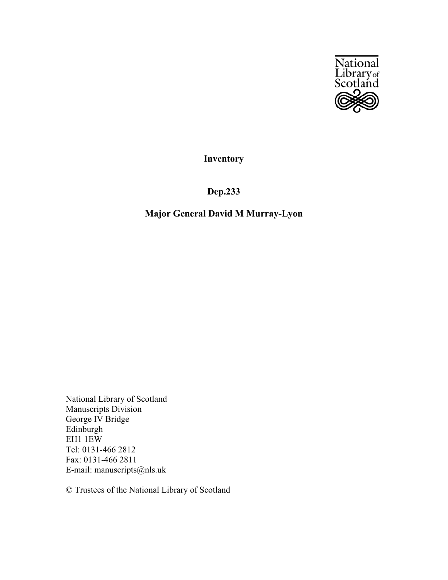

**Inventory**

**Dep.233**

# **Major General David M Murray-Lyon**

National Library of Scotland Manuscripts Division George IV Bridge Edinburgh EH1 1EW Tel: 0131-466 2812 Fax: 0131-466 2811 E-mail: manuscripts@nls.uk

© Trustees of the National Library of Scotland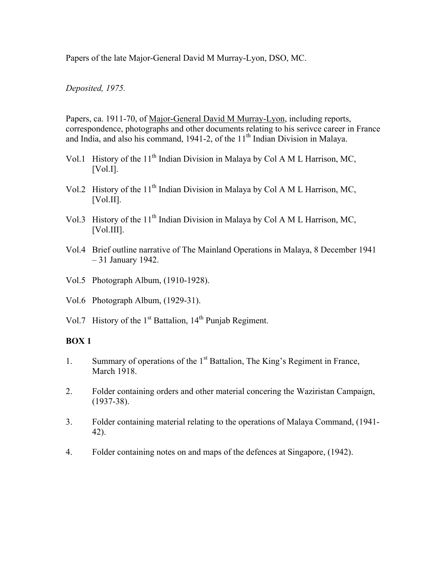Papers of the late Major-General David M Murray-Lyon, DSO, MC.

# *Deposited, 1975.*

Papers, ca. 1911-70, of Major-General David M Murray-Lyon, including reports, correspondence, photographs and other documents relating to his serivce career in France and India, and also his command,  $1941-2$ , of the  $11<sup>th</sup>$  Indian Division in Malaya.

- Vol.1 History of the  $11<sup>th</sup>$  Indian Division in Malaya by Col A M L Harrison, MC, [Vol.I].
- Vol.2 History of the  $11<sup>th</sup>$  Indian Division in Malaya by Col A M L Harrison, MC, [Vol.II].
- Vol.3 History of the  $11<sup>th</sup>$  Indian Division in Malaya by Col A M L Harrison, MC, [Vol.III].
- Vol.4 Brief outline narrative of The Mainland Operations in Malaya, 8 December 1941 – 31 January 1942.
- Vol.5 Photograph Album, (1910-1928).
- Vol.6 Photograph Album, (1929-31).
- Vol.7 History of the  $1<sup>st</sup>$  Battalion,  $14<sup>th</sup>$  Punjab Regiment.

### **BOX 1**

- 1. Summary of operations of the 1<sup>st</sup> Battalion, The King's Regiment in France, March 1918.
- 2. Folder containing orders and other material concering the Waziristan Campaign, (1937-38).
- 3. Folder containing material relating to the operations of Malaya Command, (1941- 42).
- 4. Folder containing notes on and maps of the defences at Singapore, (1942).